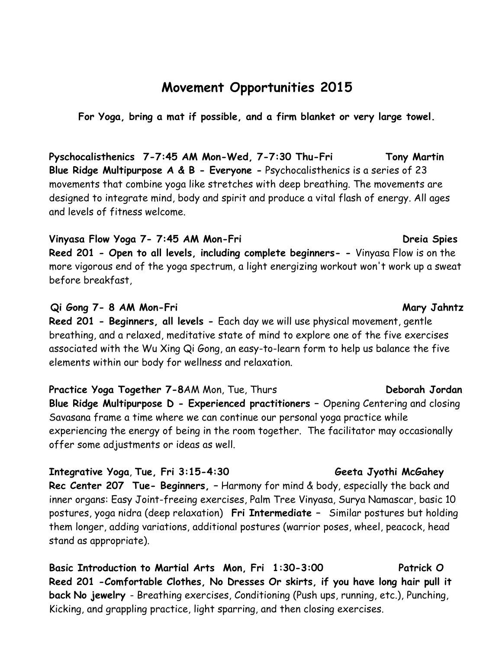# **Movement Opportunities 2015**

**For Yoga, bring a mat if possible, and a firm blanket or very large towel.**

**Pyschocalisthenics 7-7:45 AM Mon-Wed, 7-7:30 Thu-Fri Tony Martin Blue Ridge Multipurpose A & B - Everyone -** Psychocalisthenics is a series of 23 movements that combine yoga like stretches with deep breathing. The movements are designed to integrate mind, body and spirit and produce a vital flash of energy. All ages and levels of fitness welcome.

### Vinyasa Flow Yoga 7- 7:45 AM Mon-Fri **Diamagness Constants Constants Constants Constants Constants Constants Const**

**Reed 201 - Open to all levels, including complete beginners- -** Vinyasa Flow is on the more vigorous end of the yoga spectrum, a light energizing workout won't work up a sweat before breakfast,

### **Qi Gong 7- 8 AM Mon-Fri Mary Jahntz**

**Reed 201 - Beginners, all levels -** Each day we will use physical movement, gentle breathing, and a relaxed, meditative state of mind to explore one of the five exercises associated with the Wu Xing Qi Gong, an easy-to-learn form to help us balance the five elements within our body for wellness and relaxation.

**Practice Yoga Together 7-8**AM Mon, Tue, Thurs **Deborah Jordan Blue Ridge Multipurpose D - Experienced practitioners –** Opening Centering and closing Savasana frame a time where we can continue our personal yoga practice while experiencing the energy of being in the room together. The facilitator may occasionally offer some adjustments or ideas as well.

### **Integrative Yoga**, **Tue, Fri 3:15-4:30 Geeta Jyothi McGahey**

**Rec Center 207 Tue- Beginners, –** Harmony for mind & body, especially the back and inner organs: Easy Joint-freeing exercises, Palm Tree Vinyasa, Surya Namascar, basic 10 postures, yoga nidra (deep relaxation) **Fri Intermediate –** Similar postures but holding them longer, adding variations, additional postures (warrior poses, wheel, peacock, head stand as appropriate).

**Basic Introduction to Martial Arts Mon, Fri 1:30-3:00 Patrick O Reed 201 -Comfortable Clothes, No Dresses Or skirts, if you have long hair pull it back No jewelry** - Breathing exercises, Conditioning (Push ups, running, etc.), Punching, Kicking, and grappling practice, light sparring, and then closing exercises.